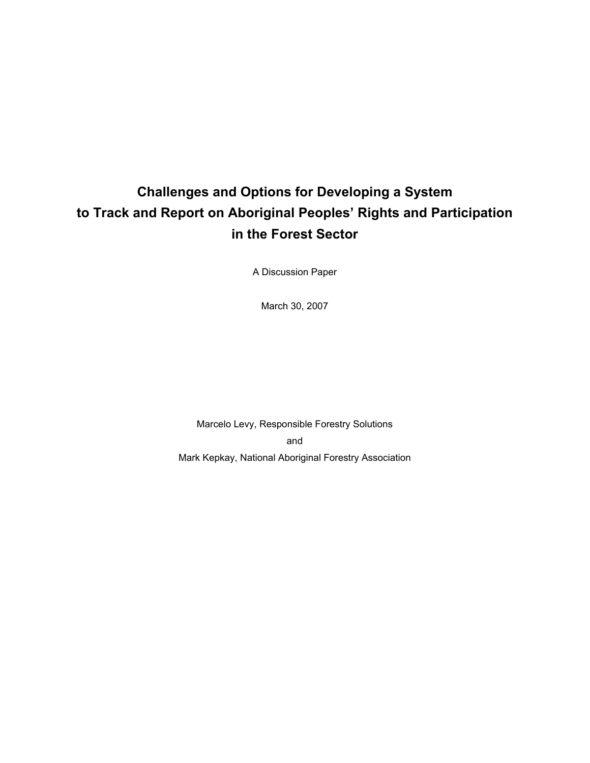# **Challenges and Options for Developing a System to Track and Report on Aboriginal Peoples' Rights and Participation in the Forest Sector**

A Discussion Paper

March 30, 2007

Marcelo Levy, Responsible Forestry Solutions and Mark Kepkay, National Aboriginal Forestry Association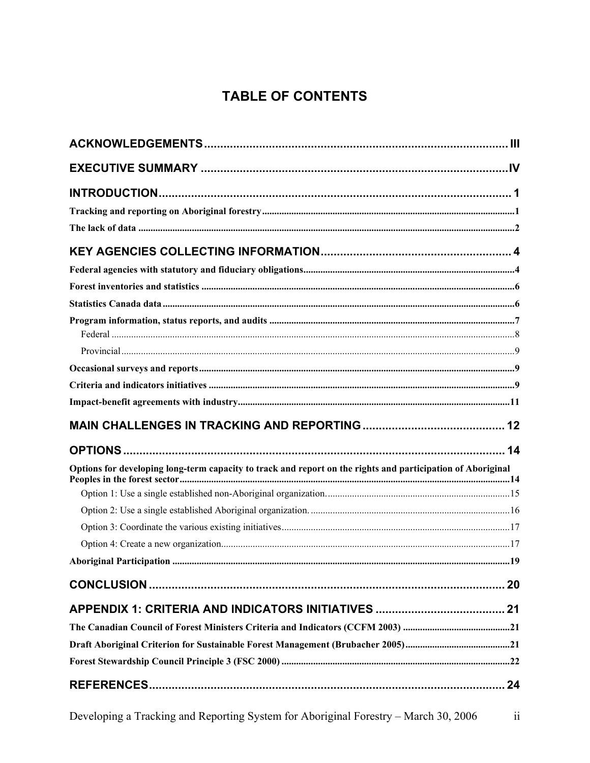### TABLE OF CONTENTS

| Options for developing long-term capacity to track and report on the rights and participation of Aboriginal |  |
|-------------------------------------------------------------------------------------------------------------|--|
|                                                                                                             |  |
|                                                                                                             |  |
|                                                                                                             |  |
|                                                                                                             |  |
|                                                                                                             |  |
|                                                                                                             |  |
|                                                                                                             |  |
|                                                                                                             |  |
|                                                                                                             |  |
|                                                                                                             |  |
|                                                                                                             |  |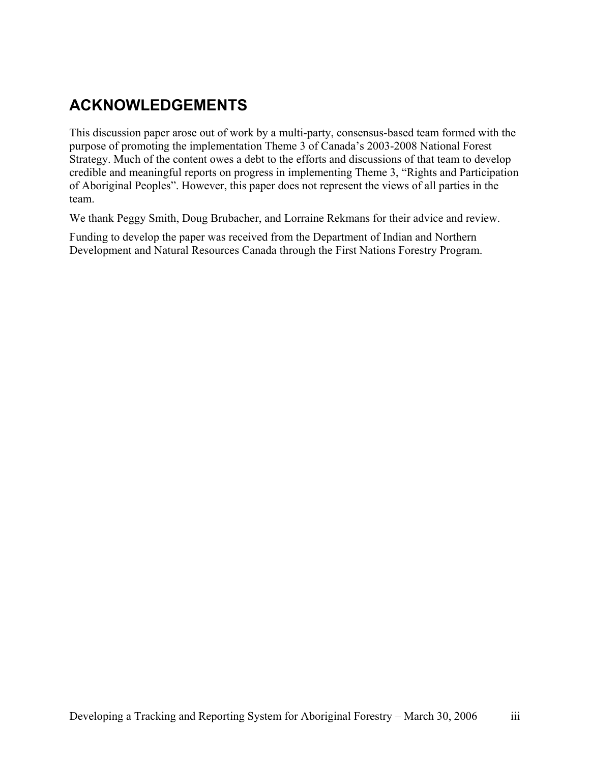## **ACKNOWLEDGEMENTS**

This discussion paper arose out of work by a multi-party, consensus-based team formed with the purpose of promoting the implementation Theme 3 of Canada's 2003-2008 National Forest Strategy. Much of the content owes a debt to the efforts and discussions of that team to develop credible and meaningful reports on progress in implementing Theme 3, "Rights and Participation of Aboriginal Peoples". However, this paper does not represent the views of all parties in the team.

We thank Peggy Smith, Doug Brubacher, and Lorraine Rekmans for their advice and review.

Funding to develop the paper was received from the Department of Indian and Northern Development and Natural Resources Canada through the First Nations Forestry Program.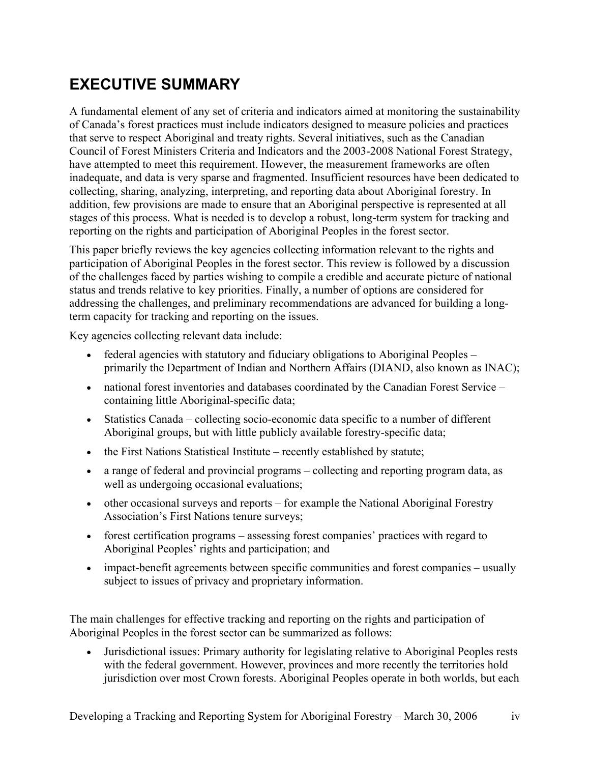# **EXECUTIVE SUMMARY**

A fundamental element of any set of criteria and indicators aimed at monitoring the sustainability of Canada's forest practices must include indicators designed to measure policies and practices that serve to respect Aboriginal and treaty rights. Several initiatives, such as the Canadian Council of Forest Ministers Criteria and Indicators and the 2003-2008 National Forest Strategy, have attempted to meet this requirement. However, the measurement frameworks are often inadequate, and data is very sparse and fragmented. Insufficient resources have been dedicated to collecting, sharing, analyzing, interpreting, and reporting data about Aboriginal forestry. In addition, few provisions are made to ensure that an Aboriginal perspective is represented at all stages of this process. What is needed is to develop a robust, long-term system for tracking and reporting on the rights and participation of Aboriginal Peoples in the forest sector.

This paper briefly reviews the key agencies collecting information relevant to the rights and participation of Aboriginal Peoples in the forest sector. This review is followed by a discussion of the challenges faced by parties wishing to compile a credible and accurate picture of national status and trends relative to key priorities. Finally, a number of options are considered for addressing the challenges, and preliminary recommendations are advanced for building a longterm capacity for tracking and reporting on the issues.

Key agencies collecting relevant data include:

- federal agencies with statutory and fiduciary obligations to Aboriginal Peoples primarily the Department of Indian and Northern Affairs (DIAND, also known as INAC);
- national forest inventories and databases coordinated by the Canadian Forest Service containing little Aboriginal-specific data;
- Statistics Canada collecting socio-economic data specific to a number of different Aboriginal groups, but with little publicly available forestry-specific data;
- the First Nations Statistical Institute recently established by statute;
- a range of federal and provincial programs collecting and reporting program data, as well as undergoing occasional evaluations;
- other occasional surveys and reports for example the National Aboriginal Forestry Association's First Nations tenure surveys;
- forest certification programs assessing forest companies' practices with regard to Aboriginal Peoples' rights and participation; and
- impact-benefit agreements between specific communities and forest companies usually subject to issues of privacy and proprietary information.

The main challenges for effective tracking and reporting on the rights and participation of Aboriginal Peoples in the forest sector can be summarized as follows:

• Jurisdictional issues: Primary authority for legislating relative to Aboriginal Peoples rests with the federal government. However, provinces and more recently the territories hold jurisdiction over most Crown forests. Aboriginal Peoples operate in both worlds, but each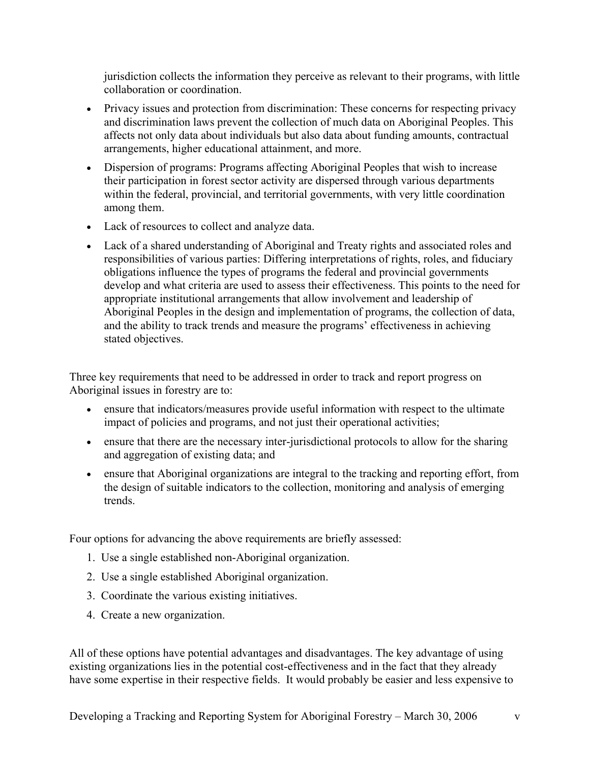jurisdiction collects the information they perceive as relevant to their programs, with little collaboration or coordination.

- Privacy issues and protection from discrimination: These concerns for respecting privacy and discrimination laws prevent the collection of much data on Aboriginal Peoples. This affects not only data about individuals but also data about funding amounts, contractual arrangements, higher educational attainment, and more.
- Dispersion of programs: Programs affecting Aboriginal Peoples that wish to increase their participation in forest sector activity are dispersed through various departments within the federal, provincial, and territorial governments, with very little coordination among them.
- Lack of resources to collect and analyze data.
- Lack of a shared understanding of Aboriginal and Treaty rights and associated roles and responsibilities of various parties: Differing interpretations of rights, roles, and fiduciary obligations influence the types of programs the federal and provincial governments develop and what criteria are used to assess their effectiveness. This points to the need for appropriate institutional arrangements that allow involvement and leadership of Aboriginal Peoples in the design and implementation of programs, the collection of data, and the ability to track trends and measure the programs' effectiveness in achieving stated objectives.

Three key requirements that need to be addressed in order to track and report progress on Aboriginal issues in forestry are to:

- ensure that indicators/measures provide useful information with respect to the ultimate impact of policies and programs, and not just their operational activities;
- ensure that there are the necessary inter-jurisdictional protocols to allow for the sharing and aggregation of existing data; and
- ensure that Aboriginal organizations are integral to the tracking and reporting effort, from the design of suitable indicators to the collection, monitoring and analysis of emerging trends.

Four options for advancing the above requirements are briefly assessed:

- 1. Use a single established non-Aboriginal organization.
- 2. Use a single established Aboriginal organization.
- 3. Coordinate the various existing initiatives.
- 4. Create a new organization.

All of these options have potential advantages and disadvantages. The key advantage of using existing organizations lies in the potential cost-effectiveness and in the fact that they already have some expertise in their respective fields. It would probably be easier and less expensive to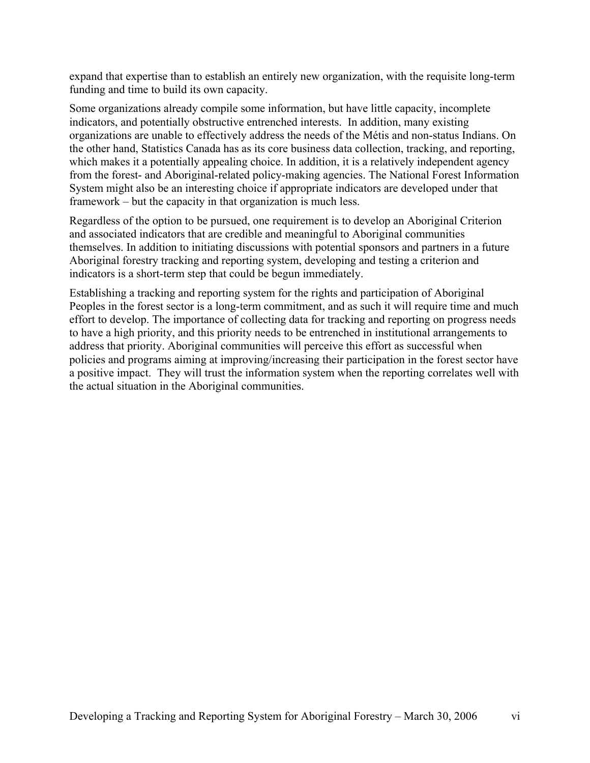expand that expertise than to establish an entirely new organization, with the requisite long-term funding and time to build its own capacity.

Some organizations already compile some information, but have little capacity, incomplete indicators, and potentially obstructive entrenched interests. In addition, many existing organizations are unable to effectively address the needs of the Métis and non-status Indians. On the other hand, Statistics Canada has as its core business data collection, tracking, and reporting, which makes it a potentially appealing choice. In addition, it is a relatively independent agency from the forest- and Aboriginal-related policy-making agencies. The National Forest Information System might also be an interesting choice if appropriate indicators are developed under that framework – but the capacity in that organization is much less.

Regardless of the option to be pursued, one requirement is to develop an Aboriginal Criterion and associated indicators that are credible and meaningful to Aboriginal communities themselves. In addition to initiating discussions with potential sponsors and partners in a future Aboriginal forestry tracking and reporting system, developing and testing a criterion and indicators is a short-term step that could be begun immediately.

Establishing a tracking and reporting system for the rights and participation of Aboriginal Peoples in the forest sector is a long-term commitment, and as such it will require time and much effort to develop. The importance of collecting data for tracking and reporting on progress needs to have a high priority, and this priority needs to be entrenched in institutional arrangements to address that priority. Aboriginal communities will perceive this effort as successful when policies and programs aiming at improving/increasing their participation in the forest sector have a positive impact. They will trust the information system when the reporting correlates well with the actual situation in the Aboriginal communities.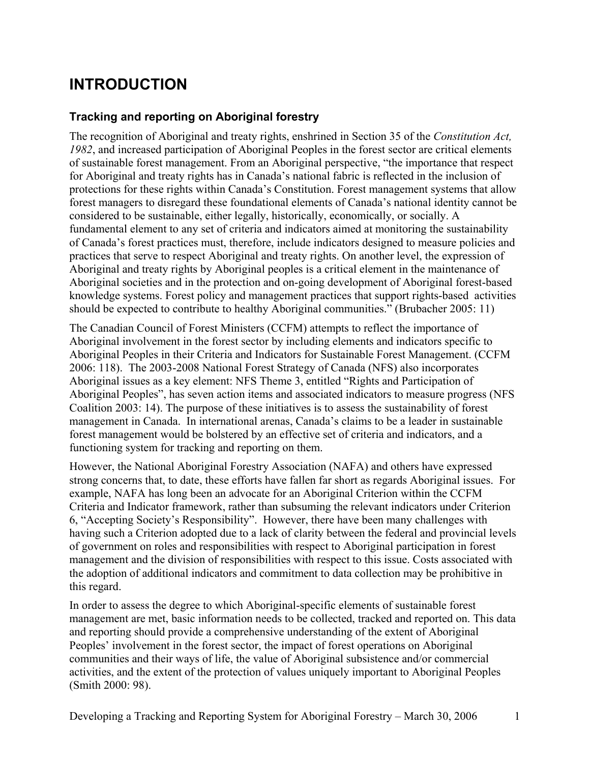## **INTRODUCTION**

### **Tracking and reporting on Aboriginal forestry**

The recognition of Aboriginal and treaty rights, enshrined in Section 35 of the *Constitution Act, 1982*, and increased participation of Aboriginal Peoples in the forest sector are critical elements of sustainable forest management. From an Aboriginal perspective, "the importance that respect for Aboriginal and treaty rights has in Canada's national fabric is reflected in the inclusion of protections for these rights within Canada's Constitution. Forest management systems that allow forest managers to disregard these foundational elements of Canada's national identity cannot be considered to be sustainable, either legally, historically, economically, or socially. A fundamental element to any set of criteria and indicators aimed at monitoring the sustainability of Canada's forest practices must, therefore, include indicators designed to measure policies and practices that serve to respect Aboriginal and treaty rights. On another level, the expression of Aboriginal and treaty rights by Aboriginal peoples is a critical element in the maintenance of Aboriginal societies and in the protection and on-going development of Aboriginal forest-based knowledge systems. Forest policy and management practices that support rights-based activities should be expected to contribute to healthy Aboriginal communities." (Brubacher 2005: 11)

The Canadian Council of Forest Ministers (CCFM) attempts to reflect the importance of Aboriginal involvement in the forest sector by including elements and indicators specific to Aboriginal Peoples in their Criteria and Indicators for Sustainable Forest Management. (CCFM 2006: 118). The 2003-2008 National Forest Strategy of Canada (NFS) also incorporates Aboriginal issues as a key element: NFS Theme 3, entitled "Rights and Participation of Aboriginal Peoples", has seven action items and associated indicators to measure progress (NFS Coalition 2003: 14). The purpose of these initiatives is to assess the sustainability of forest management in Canada. In international arenas, Canada's claims to be a leader in sustainable forest management would be bolstered by an effective set of criteria and indicators, and a functioning system for tracking and reporting on them.

However, the National Aboriginal Forestry Association (NAFA) and others have expressed strong concerns that, to date, these efforts have fallen far short as regards Aboriginal issues. For example, NAFA has long been an advocate for an Aboriginal Criterion within the CCFM Criteria and Indicator framework, rather than subsuming the relevant indicators under Criterion 6, "Accepting Society's Responsibility". However, there have been many challenges with having such a Criterion adopted due to a lack of clarity between the federal and provincial levels of government on roles and responsibilities with respect to Aboriginal participation in forest management and the division of responsibilities with respect to this issue. Costs associated with the adoption of additional indicators and commitment to data collection may be prohibitive in this regard.

In order to assess the degree to which Aboriginal-specific elements of sustainable forest management are met, basic information needs to be collected, tracked and reported on. This data and reporting should provide a comprehensive understanding of the extent of Aboriginal Peoples' involvement in the forest sector, the impact of forest operations on Aboriginal communities and their ways of life, the value of Aboriginal subsistence and/or commercial activities, and the extent of the protection of values uniquely important to Aboriginal Peoples (Smith 2000: 98).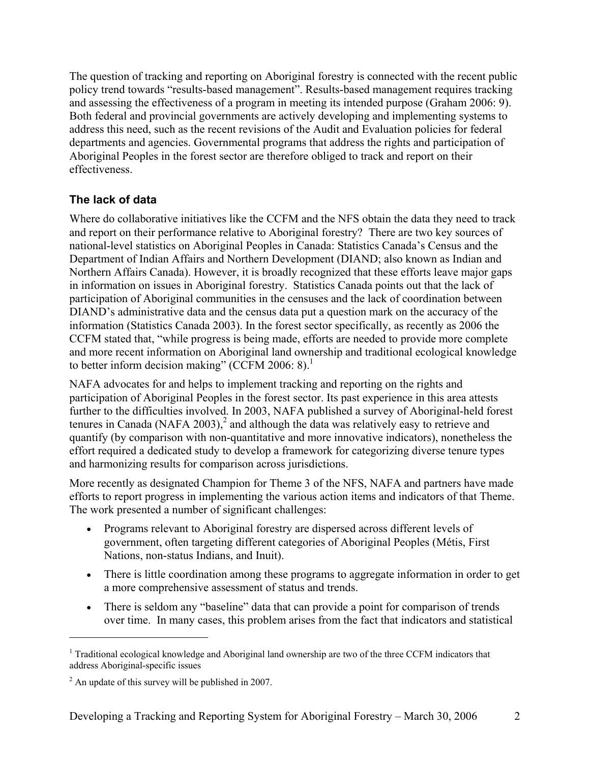The question of tracking and reporting on Aboriginal forestry is connected with the recent public policy trend towards "results-based management". Results-based management requires tracking and assessing the effectiveness of a program in meeting its intended purpose (Graham 2006: 9). Both federal and provincial governments are actively developing and implementing systems to address this need, such as the recent revisions of the Audit and Evaluation policies for federal departments and agencies. Governmental programs that address the rights and participation of Aboriginal Peoples in the forest sector are therefore obliged to track and report on their effectiveness.

### **The lack of data**

Where do collaborative initiatives like the CCFM and the NFS obtain the data they need to track and report on their performance relative to Aboriginal forestry? There are two key sources of national-level statistics on Aboriginal Peoples in Canada: Statistics Canada's Census and the Department of Indian Affairs and Northern Development (DIAND; also known as Indian and Northern Affairs Canada). However, it is broadly recognized that these efforts leave major gaps in information on issues in Aboriginal forestry. Statistics Canada points out that the lack of participation of Aboriginal communities in the censuses and the lack of coordination between DIAND's administrative data and the census data put a question mark on the accuracy of the information (Statistics Canada 2003). In the forest sector specifically, as recently as 2006 the CCFM stated that, "while progress is being made, efforts are needed to provide more complete and more recent information on Aboriginal land ownership and traditional ecological knowledge to better inform decision making" (CCFM 2006: 8).<sup>1</sup>

NAFA advocates for and helps to implement tracking and reporting on the rights and participation of Aboriginal Peoples in the forest sector. Its past experience in this area attests further to the difficulties involved. In 2003, NAFA published a survey of Aboriginal-held forest tenures in Canada (NAFA 2003),<sup>2</sup> and although the data was relatively easy to retrieve and quantify (by comparison with non-quantitative and more innovative indicators), nonetheless the effort required a dedicated study to develop a framework for categorizing diverse tenure types and harmonizing results for comparison across jurisdictions.

More recently as designated Champion for Theme 3 of the NFS, NAFA and partners have made efforts to report progress in implementing the various action items and indicators of that Theme. The work presented a number of significant challenges:

- Programs relevant to Aboriginal forestry are dispersed across different levels of government, often targeting different categories of Aboriginal Peoples (Métis, First Nations, non-status Indians, and Inuit).
- There is little coordination among these programs to aggregate information in order to get a more comprehensive assessment of status and trends.
- There is seldom any "baseline" data that can provide a point for comparison of trends over time. In many cases, this problem arises from the fact that indicators and statistical

 $\overline{a}$ 

<sup>&</sup>lt;sup>1</sup> Traditional ecological knowledge and Aboriginal land ownership are two of the three CCFM indicators that address Aboriginal-specific issues

 $2^2$  An update of this survey will be published in 2007.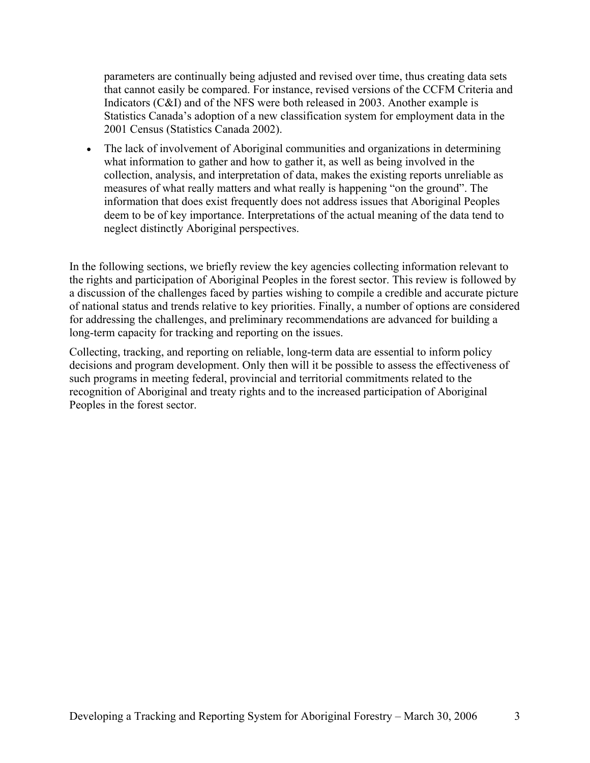parameters are continually being adjusted and revised over time, thus creating data sets that cannot easily be compared. For instance, revised versions of the CCFM Criteria and Indicators (C&I) and of the NFS were both released in 2003. Another example is Statistics Canada's adoption of a new classification system for employment data in the 2001 Census (Statistics Canada 2002).

• The lack of involvement of Aboriginal communities and organizations in determining what information to gather and how to gather it, as well as being involved in the collection, analysis, and interpretation of data, makes the existing reports unreliable as measures of what really matters and what really is happening "on the ground". The information that does exist frequently does not address issues that Aboriginal Peoples deem to be of key importance. Interpretations of the actual meaning of the data tend to neglect distinctly Aboriginal perspectives.

In the following sections, we briefly review the key agencies collecting information relevant to the rights and participation of Aboriginal Peoples in the forest sector. This review is followed by a discussion of the challenges faced by parties wishing to compile a credible and accurate picture of national status and trends relative to key priorities. Finally, a number of options are considered for addressing the challenges, and preliminary recommendations are advanced for building a long-term capacity for tracking and reporting on the issues.

Collecting, tracking, and reporting on reliable, long-term data are essential to inform policy decisions and program development. Only then will it be possible to assess the effectiveness of such programs in meeting federal, provincial and territorial commitments related to the recognition of Aboriginal and treaty rights and to the increased participation of Aboriginal Peoples in the forest sector.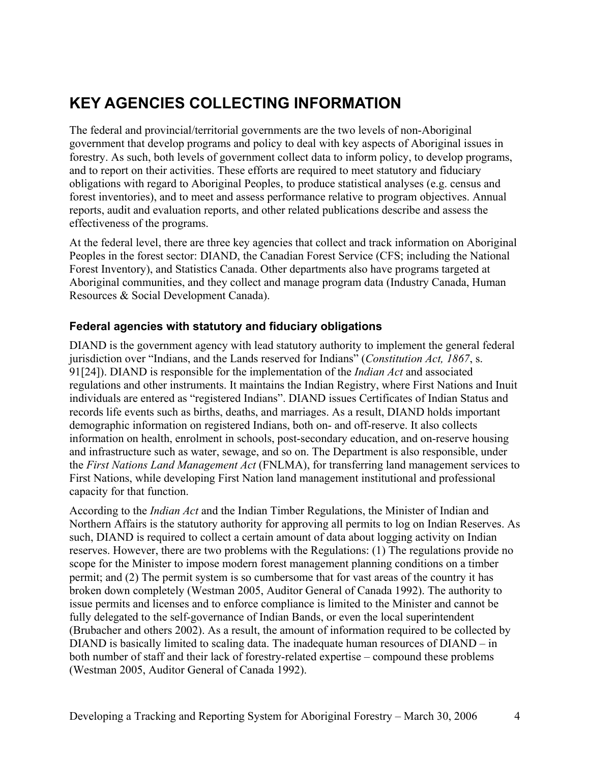# **KEY AGENCIES COLLECTING INFORMATION**

The federal and provincial/territorial governments are the two levels of non-Aboriginal government that develop programs and policy to deal with key aspects of Aboriginal issues in forestry. As such, both levels of government collect data to inform policy, to develop programs, and to report on their activities. These efforts are required to meet statutory and fiduciary obligations with regard to Aboriginal Peoples, to produce statistical analyses (e.g. census and forest inventories), and to meet and assess performance relative to program objectives. Annual reports, audit and evaluation reports, and other related publications describe and assess the effectiveness of the programs.

At the federal level, there are three key agencies that collect and track information on Aboriginal Peoples in the forest sector: DIAND, the Canadian Forest Service (CFS; including the National Forest Inventory), and Statistics Canada. Other departments also have programs targeted at Aboriginal communities, and they collect and manage program data (Industry Canada, Human Resources & Social Development Canada).

#### **Federal agencies with statutory and fiduciary obligations**

DIAND is the government agency with lead statutory authority to implement the general federal jurisdiction over "Indians, and the Lands reserved for Indians" (*Constitution Act, 1867*, s. 91[24]). DIAND is responsible for the implementation of the *Indian Act* and associated regulations and other instruments. It maintains the Indian Registry, where First Nations and Inuit individuals are entered as "registered Indians". DIAND issues Certificates of Indian Status and records life events such as births, deaths, and marriages. As a result, DIAND holds important demographic information on registered Indians, both on- and off-reserve. It also collects information on health, enrolment in schools, post-secondary education, and on-reserve housing and infrastructure such as water, sewage, and so on. The Department is also responsible, under the *First Nations Land Management Act* (FNLMA), for transferring land management services to First Nations, while developing First Nation land management institutional and professional capacity for that function.

According to the *Indian Act* and the Indian Timber Regulations, the Minister of Indian and Northern Affairs is the statutory authority for approving all permits to log on Indian Reserves. As such, DIAND is required to collect a certain amount of data about logging activity on Indian reserves. However, there are two problems with the Regulations: (1) The regulations provide no scope for the Minister to impose modern forest management planning conditions on a timber permit; and (2) The permit system is so cumbersome that for vast areas of the country it has broken down completely (Westman 2005, Auditor General of Canada 1992). The authority to issue permits and licenses and to enforce compliance is limited to the Minister and cannot be fully delegated to the self-governance of Indian Bands, or even the local superintendent (Brubacher and others 2002). As a result, the amount of information required to be collected by DIAND is basically limited to scaling data. The inadequate human resources of DIAND – in both number of staff and their lack of forestry-related expertise – compound these problems (Westman 2005, Auditor General of Canada 1992).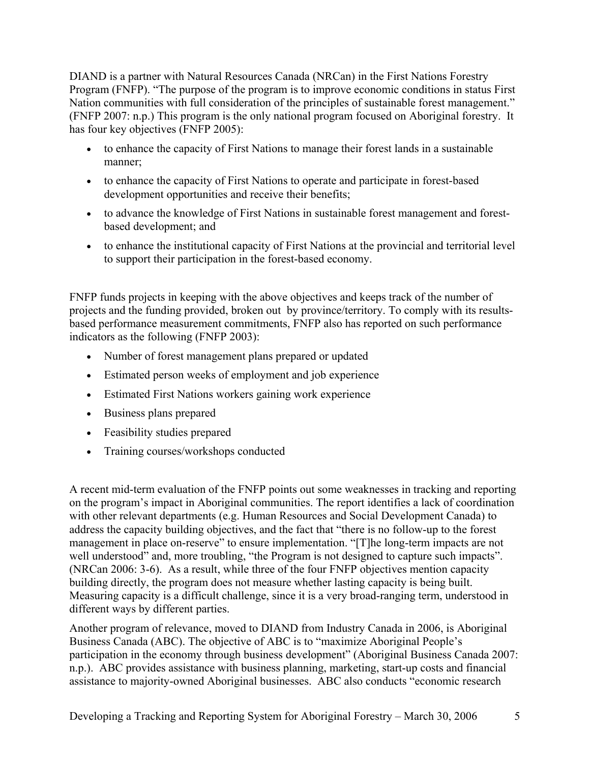DIAND is a partner with Natural Resources Canada (NRCan) in the First Nations Forestry Program (FNFP). "The purpose of the program is to improve economic conditions in status First Nation communities with full consideration of the principles of sustainable forest management." (FNFP 2007: n.p.) This program is the only national program focused on Aboriginal forestry. It has four key objectives (FNFP 2005):

- to enhance the capacity of First Nations to manage their forest lands in a sustainable manner;
- to enhance the capacity of First Nations to operate and participate in forest-based development opportunities and receive their benefits;
- to advance the knowledge of First Nations in sustainable forest management and forestbased development; and
- to enhance the institutional capacity of First Nations at the provincial and territorial level to support their participation in the forest-based economy.

FNFP funds projects in keeping with the above objectives and keeps track of the number of projects and the funding provided, broken out by province/territory. To comply with its resultsbased performance measurement commitments, FNFP also has reported on such performance indicators as the following (FNFP 2003):

- Number of forest management plans prepared or updated
- Estimated person weeks of employment and job experience
- Estimated First Nations workers gaining work experience
- Business plans prepared
- Feasibility studies prepared
- Training courses/workshops conducted

A recent mid-term evaluation of the FNFP points out some weaknesses in tracking and reporting on the program's impact in Aboriginal communities. The report identifies a lack of coordination with other relevant departments (e.g. Human Resources and Social Development Canada) to address the capacity building objectives, and the fact that "there is no follow-up to the forest management in place on-reserve" to ensure implementation. "[T]he long-term impacts are not well understood" and, more troubling, "the Program is not designed to capture such impacts". (NRCan 2006: 3-6). As a result, while three of the four FNFP objectives mention capacity building directly, the program does not measure whether lasting capacity is being built. Measuring capacity is a difficult challenge, since it is a very broad-ranging term, understood in different ways by different parties.

Another program of relevance, moved to DIAND from Industry Canada in 2006, is Aboriginal Business Canada (ABC). The objective of ABC is to "maximize Aboriginal People's participation in the economy through business development" (Aboriginal Business Canada 2007: n.p.). ABC provides assistance with business planning, marketing, start-up costs and financial assistance to majority-owned Aboriginal businesses. ABC also conducts "economic research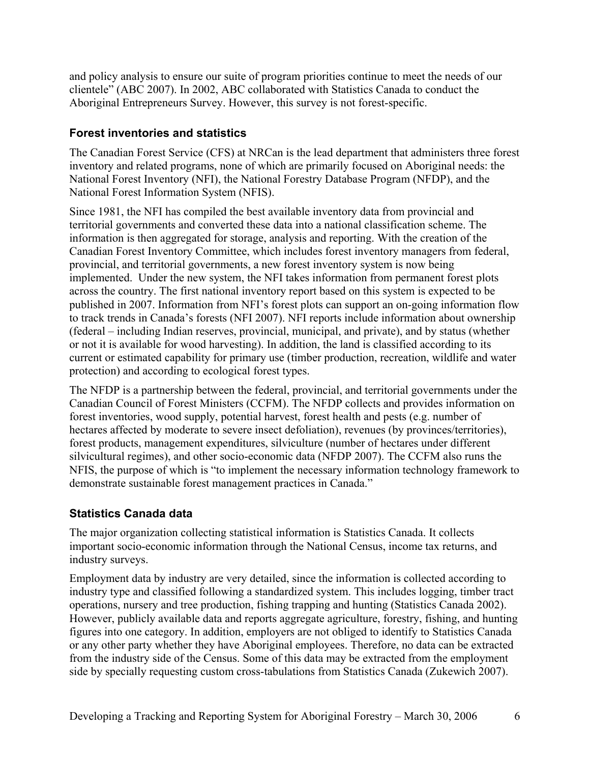and policy analysis to ensure our suite of program priorities continue to meet the needs of our clientele" (ABC 2007). In 2002, ABC collaborated with Statistics Canada to conduct the Aboriginal Entrepreneurs Survey. However, this survey is not forest-specific.

### **Forest inventories and statistics**

The Canadian Forest Service (CFS) at NRCan is the lead department that administers three forest inventory and related programs, none of which are primarily focused on Aboriginal needs: the National Forest Inventory (NFI), the National Forestry Database Program (NFDP), and the National Forest Information System (NFIS).

Since 1981, the NFI has compiled the best available inventory data from provincial and territorial governments and converted these data into a national classification scheme. The information is then aggregated for storage, analysis and reporting. With the creation of the Canadian Forest Inventory Committee, which includes forest inventory managers from federal, provincial, and territorial governments, a new forest inventory system is now being implemented. Under the new system, the NFI takes information from permanent forest plots across the country. The first national inventory report based on this system is expected to be published in 2007. Information from NFI's forest plots can support an on-going information flow to track trends in Canada's forests (NFI 2007). NFI reports include information about ownership (federal – including Indian reserves, provincial, municipal, and private), and by status (whether or not it is available for wood harvesting). In addition, the land is classified according to its current or estimated capability for primary use (timber production, recreation, wildlife and water protection) and according to ecological forest types.

The NFDP is a partnership between the federal, provincial, and territorial governments under the Canadian Council of Forest Ministers (CCFM). The NFDP collects and provides information on forest inventories, wood supply, potential harvest, forest health and pests (e.g. number of hectares affected by moderate to severe insect defoliation), revenues (by provinces/territories), forest products, management expenditures, silviculture (number of hectares under different silvicultural regimes), and other socio-economic data (NFDP 2007). The CCFM also runs the NFIS, the purpose of which is "to implement the necessary information technology framework to demonstrate sustainable forest management practices in Canada."

### **Statistics Canada data**

The major organization collecting statistical information is Statistics Canada. It collects important socio-economic information through the National Census, income tax returns, and industry surveys.

Employment data by industry are very detailed, since the information is collected according to industry type and classified following a standardized system. This includes logging, timber tract operations, nursery and tree production, fishing trapping and hunting (Statistics Canada 2002). However, publicly available data and reports aggregate agriculture, forestry, fishing, and hunting figures into one category. In addition, employers are not obliged to identify to Statistics Canada or any other party whether they have Aboriginal employees. Therefore, no data can be extracted from the industry side of the Census. Some of this data may be extracted from the employment side by specially requesting custom cross-tabulations from Statistics Canada (Zukewich 2007).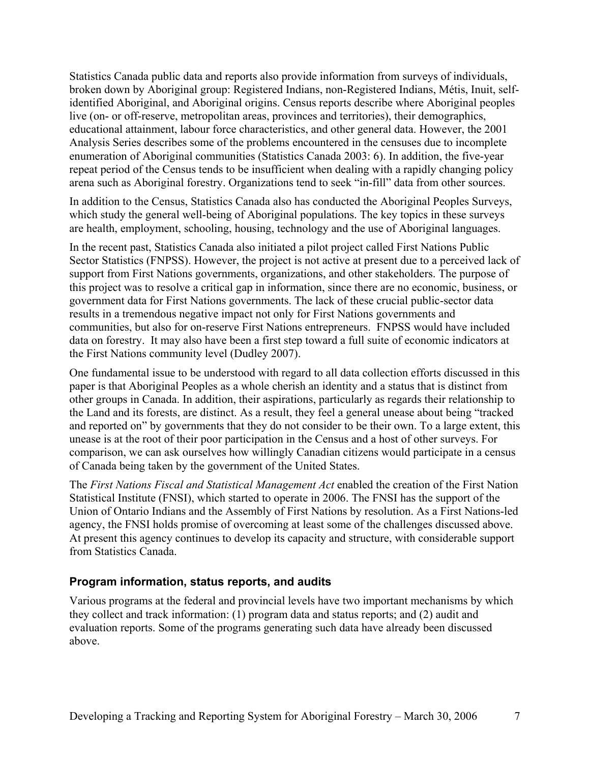Statistics Canada public data and reports also provide information from surveys of individuals, broken down by Aboriginal group: Registered Indians, non-Registered Indians, Métis, Inuit, selfidentified Aboriginal, and Aboriginal origins. Census reports describe where Aboriginal peoples live (on- or off-reserve, metropolitan areas, provinces and territories), their demographics, educational attainment, labour force characteristics, and other general data. However, the 2001 Analysis Series describes some of the problems encountered in the censuses due to incomplete enumeration of Aboriginal communities (Statistics Canada 2003: 6). In addition, the five-year repeat period of the Census tends to be insufficient when dealing with a rapidly changing policy arena such as Aboriginal forestry. Organizations tend to seek "in-fill" data from other sources.

In addition to the Census, Statistics Canada also has conducted the Aboriginal Peoples Surveys, which study the general well-being of Aboriginal populations. The key topics in these surveys are health, employment, schooling, housing, technology and the use of Aboriginal languages.

In the recent past, Statistics Canada also initiated a pilot project called First Nations Public Sector Statistics (FNPSS). However, the project is not active at present due to a perceived lack of support from First Nations governments, organizations, and other stakeholders. The purpose of this project was to resolve a critical gap in information, since there are no economic, business, or government data for First Nations governments. The lack of these crucial public-sector data results in a tremendous negative impact not only for First Nations governments and communities, but also for on-reserve First Nations entrepreneurs. FNPSS would have included data on forestry. It may also have been a first step toward a full suite of economic indicators at the First Nations community level (Dudley 2007).

One fundamental issue to be understood with regard to all data collection efforts discussed in this paper is that Aboriginal Peoples as a whole cherish an identity and a status that is distinct from other groups in Canada. In addition, their aspirations, particularly as regards their relationship to the Land and its forests, are distinct. As a result, they feel a general unease about being "tracked and reported on" by governments that they do not consider to be their own. To a large extent, this unease is at the root of their poor participation in the Census and a host of other surveys. For comparison, we can ask ourselves how willingly Canadian citizens would participate in a census of Canada being taken by the government of the United States.

The *First Nations Fiscal and Statistical Management Act* enabled the creation of the First Nation Statistical Institute (FNSI), which started to operate in 2006. The FNSI has the support of the Union of Ontario Indians and the Assembly of First Nations by resolution. As a First Nations-led agency, the FNSI holds promise of overcoming at least some of the challenges discussed above. At present this agency continues to develop its capacity and structure, with considerable support from Statistics Canada.

#### **Program information, status reports, and audits**

Various programs at the federal and provincial levels have two important mechanisms by which they collect and track information: (1) program data and status reports; and (2) audit and evaluation reports. Some of the programs generating such data have already been discussed above.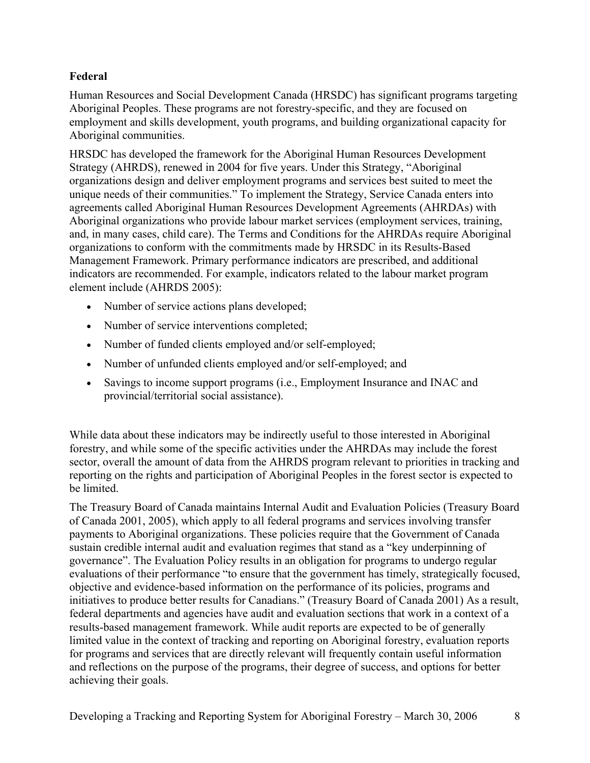### **Federal**

Human Resources and Social Development Canada (HRSDC) has significant programs targeting Aboriginal Peoples. These programs are not forestry-specific, and they are focused on employment and skills development, youth programs, and building organizational capacity for Aboriginal communities.

HRSDC has developed the framework for the Aboriginal Human Resources Development Strategy (AHRDS), renewed in 2004 for five years. Under this Strategy, "Aboriginal organizations design and deliver employment programs and services best suited to meet the unique needs of their communities." To implement the Strategy, Service Canada enters into agreements called Aboriginal Human Resources Development Agreements (AHRDAs) with Aboriginal organizations who provide labour market services (employment services, training, and, in many cases, child care). The Terms and Conditions for the AHRDAs require Aboriginal organizations to conform with the commitments made by HRSDC in its Results-Based Management Framework. Primary performance indicators are prescribed, and additional indicators are recommended. For example, indicators related to the labour market program element include (AHRDS 2005):

- Number of service actions plans developed;
- Number of service interventions completed;
- Number of funded clients employed and/or self-employed;
- Number of unfunded clients employed and/or self-employed; and
- Savings to income support programs (i.e., Employment Insurance and INAC and provincial/territorial social assistance).

While data about these indicators may be indirectly useful to those interested in Aboriginal forestry, and while some of the specific activities under the AHRDAs may include the forest sector, overall the amount of data from the AHRDS program relevant to priorities in tracking and reporting on the rights and participation of Aboriginal Peoples in the forest sector is expected to be limited.

The Treasury Board of Canada maintains Internal Audit and Evaluation Policies (Treasury Board of Canada 2001, 2005), which apply to all federal programs and services involving transfer payments to Aboriginal organizations. These policies require that the Government of Canada sustain credible internal audit and evaluation regimes that stand as a "key underpinning of governance". The Evaluation Policy results in an obligation for programs to undergo regular evaluations of their performance "to ensure that the government has timely, strategically focused, objective and evidence-based information on the performance of its policies, programs and initiatives to produce better results for Canadians." (Treasury Board of Canada 2001) As a result, federal departments and agencies have audit and evaluation sections that work in a context of a results-based management framework. While audit reports are expected to be of generally limited value in the context of tracking and reporting on Aboriginal forestry, evaluation reports for programs and services that are directly relevant will frequently contain useful information and reflections on the purpose of the programs, their degree of success, and options for better achieving their goals.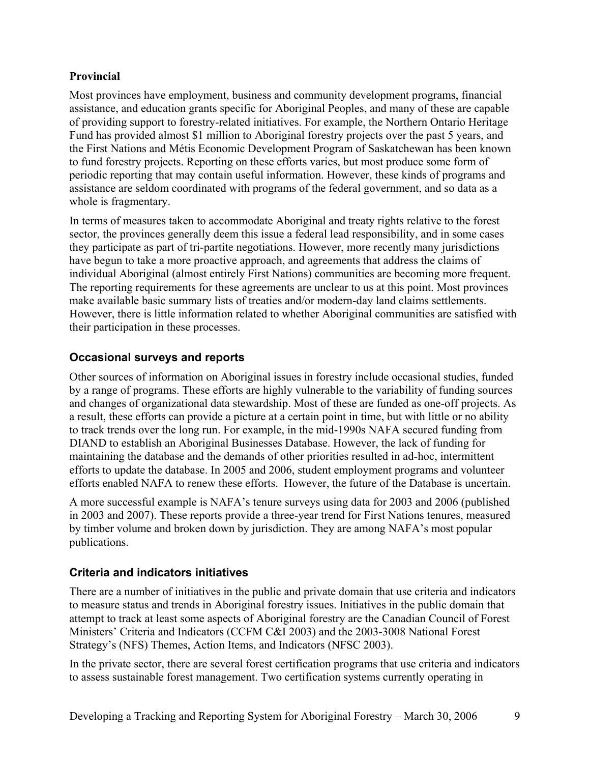### **Provincial**

Most provinces have employment, business and community development programs, financial assistance, and education grants specific for Aboriginal Peoples, and many of these are capable of providing support to forestry-related initiatives. For example, the Northern Ontario Heritage Fund has provided almost \$1 million to Aboriginal forestry projects over the past 5 years, and the First Nations and Métis Economic Development Program of Saskatchewan has been known to fund forestry projects. Reporting on these efforts varies, but most produce some form of periodic reporting that may contain useful information. However, these kinds of programs and assistance are seldom coordinated with programs of the federal government, and so data as a whole is fragmentary.

In terms of measures taken to accommodate Aboriginal and treaty rights relative to the forest sector, the provinces generally deem this issue a federal lead responsibility, and in some cases they participate as part of tri-partite negotiations. However, more recently many jurisdictions have begun to take a more proactive approach, and agreements that address the claims of individual Aboriginal (almost entirely First Nations) communities are becoming more frequent. The reporting requirements for these agreements are unclear to us at this point. Most provinces make available basic summary lists of treaties and/or modern-day land claims settlements. However, there is little information related to whether Aboriginal communities are satisfied with their participation in these processes.

### **Occasional surveys and reports**

Other sources of information on Aboriginal issues in forestry include occasional studies, funded by a range of programs. These efforts are highly vulnerable to the variability of funding sources and changes of organizational data stewardship. Most of these are funded as one-off projects. As a result, these efforts can provide a picture at a certain point in time, but with little or no ability to track trends over the long run. For example, in the mid-1990s NAFA secured funding from DIAND to establish an Aboriginal Businesses Database. However, the lack of funding for maintaining the database and the demands of other priorities resulted in ad-hoc, intermittent efforts to update the database. In 2005 and 2006, student employment programs and volunteer efforts enabled NAFA to renew these efforts. However, the future of the Database is uncertain.

A more successful example is NAFA's tenure surveys using data for 2003 and 2006 (published in 2003 and 2007). These reports provide a three-year trend for First Nations tenures, measured by timber volume and broken down by jurisdiction. They are among NAFA's most popular publications.

### **Criteria and indicators initiatives**

There are a number of initiatives in the public and private domain that use criteria and indicators to measure status and trends in Aboriginal forestry issues. Initiatives in the public domain that attempt to track at least some aspects of Aboriginal forestry are the Canadian Council of Forest Ministers' Criteria and Indicators (CCFM C&I 2003) and the 2003-3008 National Forest Strategy's (NFS) Themes, Action Items, and Indicators (NFSC 2003).

In the private sector, there are several forest certification programs that use criteria and indicators to assess sustainable forest management. Two certification systems currently operating in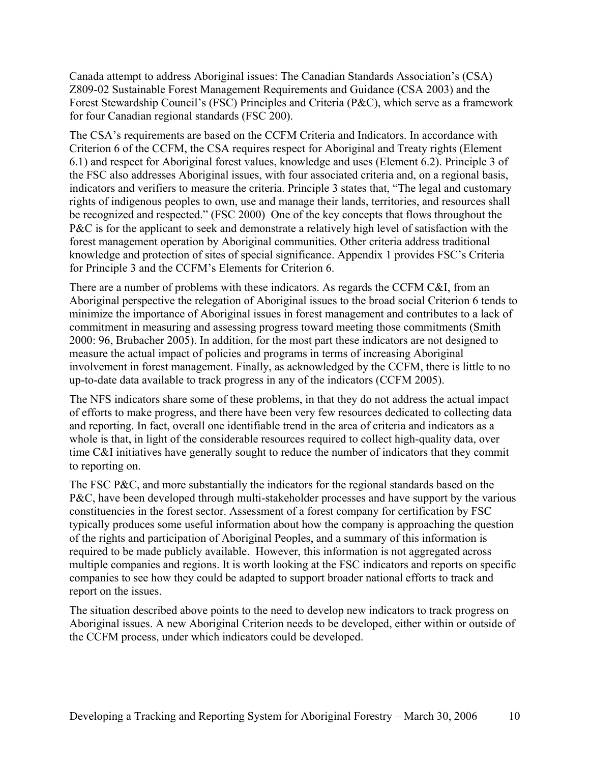Canada attempt to address Aboriginal issues: The Canadian Standards Association's (CSA) Z809-02 Sustainable Forest Management Requirements and Guidance (CSA 2003) and the Forest Stewardship Council's (FSC) Principles and Criteria (P&C), which serve as a framework for four Canadian regional standards (FSC 200).

The CSA's requirements are based on the CCFM Criteria and Indicators. In accordance with Criterion 6 of the CCFM, the CSA requires respect for Aboriginal and Treaty rights (Element 6.1) and respect for Aboriginal forest values, knowledge and uses (Element 6.2). Principle 3 of the FSC also addresses Aboriginal issues, with four associated criteria and, on a regional basis, indicators and verifiers to measure the criteria. Principle 3 states that, "The legal and customary rights of indigenous peoples to own, use and manage their lands, territories, and resources shall be recognized and respected." (FSC 2000) One of the key concepts that flows throughout the P&C is for the applicant to seek and demonstrate a relatively high level of satisfaction with the forest management operation by Aboriginal communities. Other criteria address traditional knowledge and protection of sites of special significance. Appendix 1 provides FSC's Criteria for Principle 3 and the CCFM's Elements for Criterion 6.

There are a number of problems with these indicators. As regards the CCFM C&I, from an Aboriginal perspective the relegation of Aboriginal issues to the broad social Criterion 6 tends to minimize the importance of Aboriginal issues in forest management and contributes to a lack of commitment in measuring and assessing progress toward meeting those commitments (Smith 2000: 96, Brubacher 2005). In addition, for the most part these indicators are not designed to measure the actual impact of policies and programs in terms of increasing Aboriginal involvement in forest management. Finally, as acknowledged by the CCFM, there is little to no up-to-date data available to track progress in any of the indicators (CCFM 2005).

The NFS indicators share some of these problems, in that they do not address the actual impact of efforts to make progress, and there have been very few resources dedicated to collecting data and reporting. In fact, overall one identifiable trend in the area of criteria and indicators as a whole is that, in light of the considerable resources required to collect high-quality data, over time C&I initiatives have generally sought to reduce the number of indicators that they commit to reporting on.

The FSC P&C, and more substantially the indicators for the regional standards based on the P&C, have been developed through multi-stakeholder processes and have support by the various constituencies in the forest sector. Assessment of a forest company for certification by FSC typically produces some useful information about how the company is approaching the question of the rights and participation of Aboriginal Peoples, and a summary of this information is required to be made publicly available. However, this information is not aggregated across multiple companies and regions. It is worth looking at the FSC indicators and reports on specific companies to see how they could be adapted to support broader national efforts to track and report on the issues.

The situation described above points to the need to develop new indicators to track progress on Aboriginal issues. A new Aboriginal Criterion needs to be developed, either within or outside of the CCFM process, under which indicators could be developed.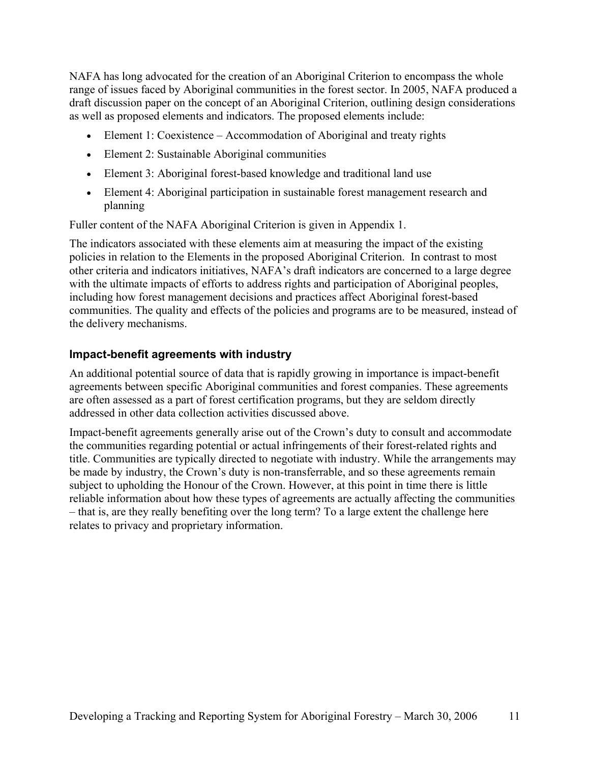NAFA has long advocated for the creation of an Aboriginal Criterion to encompass the whole range of issues faced by Aboriginal communities in the forest sector. In 2005, NAFA produced a draft discussion paper on the concept of an Aboriginal Criterion, outlining design considerations as well as proposed elements and indicators. The proposed elements include:

- Element 1: Coexistence Accommodation of Aboriginal and treaty rights
- Element 2: Sustainable Aboriginal communities
- Element 3: Aboriginal forest-based knowledge and traditional land use
- Element 4: Aboriginal participation in sustainable forest management research and planning

Fuller content of the NAFA Aboriginal Criterion is given in Appendix 1.

The indicators associated with these elements aim at measuring the impact of the existing policies in relation to the Elements in the proposed Aboriginal Criterion. In contrast to most other criteria and indicators initiatives, NAFA's draft indicators are concerned to a large degree with the ultimate impacts of efforts to address rights and participation of Aboriginal peoples, including how forest management decisions and practices affect Aboriginal forest-based communities. The quality and effects of the policies and programs are to be measured, instead of the delivery mechanisms.

#### **Impact-benefit agreements with industry**

An additional potential source of data that is rapidly growing in importance is impact-benefit agreements between specific Aboriginal communities and forest companies. These agreements are often assessed as a part of forest certification programs, but they are seldom directly addressed in other data collection activities discussed above.

Impact-benefit agreements generally arise out of the Crown's duty to consult and accommodate the communities regarding potential or actual infringements of their forest-related rights and title. Communities are typically directed to negotiate with industry. While the arrangements may be made by industry, the Crown's duty is non-transferrable, and so these agreements remain subject to upholding the Honour of the Crown. However, at this point in time there is little reliable information about how these types of agreements are actually affecting the communities – that is, are they really benefiting over the long term? To a large extent the challenge here relates to privacy and proprietary information.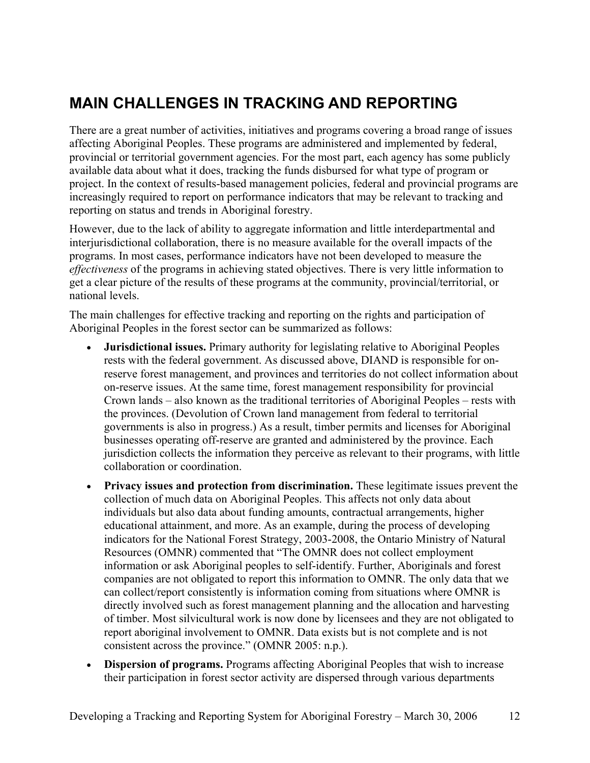# **MAIN CHALLENGES IN TRACKING AND REPORTING**

There are a great number of activities, initiatives and programs covering a broad range of issues affecting Aboriginal Peoples. These programs are administered and implemented by federal, provincial or territorial government agencies. For the most part, each agency has some publicly available data about what it does, tracking the funds disbursed for what type of program or project. In the context of results-based management policies, federal and provincial programs are increasingly required to report on performance indicators that may be relevant to tracking and reporting on status and trends in Aboriginal forestry.

However, due to the lack of ability to aggregate information and little interdepartmental and interjurisdictional collaboration, there is no measure available for the overall impacts of the programs. In most cases, performance indicators have not been developed to measure the *effectiveness* of the programs in achieving stated objectives. There is very little information to get a clear picture of the results of these programs at the community, provincial/territorial, or national levels.

The main challenges for effective tracking and reporting on the rights and participation of Aboriginal Peoples in the forest sector can be summarized as follows:

- **Jurisdictional issues.** Primary authority for legislating relative to Aboriginal Peoples rests with the federal government. As discussed above, DIAND is responsible for onreserve forest management, and provinces and territories do not collect information about on-reserve issues. At the same time, forest management responsibility for provincial Crown lands – also known as the traditional territories of Aboriginal Peoples – rests with the provinces. (Devolution of Crown land management from federal to territorial governments is also in progress.) As a result, timber permits and licenses for Aboriginal businesses operating off-reserve are granted and administered by the province. Each jurisdiction collects the information they perceive as relevant to their programs, with little collaboration or coordination.
- **Privacy issues and protection from discrimination.** These legitimate issues prevent the collection of much data on Aboriginal Peoples. This affects not only data about individuals but also data about funding amounts, contractual arrangements, higher educational attainment, and more. As an example, during the process of developing indicators for the National Forest Strategy, 2003-2008, the Ontario Ministry of Natural Resources (OMNR) commented that "The OMNR does not collect employment information or ask Aboriginal peoples to self-identify. Further, Aboriginals and forest companies are not obligated to report this information to OMNR. The only data that we can collect/report consistently is information coming from situations where OMNR is directly involved such as forest management planning and the allocation and harvesting of timber. Most silvicultural work is now done by licensees and they are not obligated to report aboriginal involvement to OMNR. Data exists but is not complete and is not consistent across the province." (OMNR 2005: n.p.).
- **Dispersion of programs.** Programs affecting Aboriginal Peoples that wish to increase their participation in forest sector activity are dispersed through various departments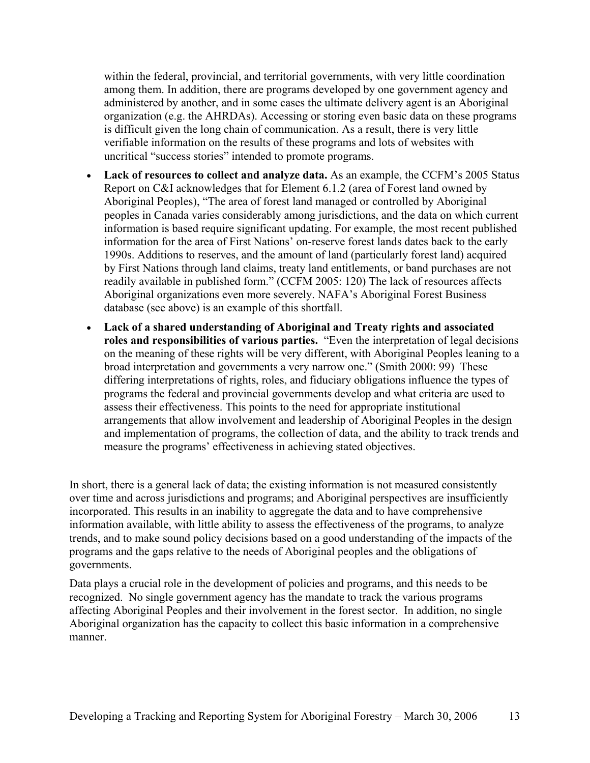within the federal, provincial, and territorial governments, with very little coordination among them. In addition, there are programs developed by one government agency and administered by another, and in some cases the ultimate delivery agent is an Aboriginal organization (e.g. the AHRDAs). Accessing or storing even basic data on these programs is difficult given the long chain of communication. As a result, there is very little verifiable information on the results of these programs and lots of websites with uncritical "success stories" intended to promote programs.

- **Lack of resources to collect and analyze data.** As an example, the CCFM's 2005 Status Report on C&I acknowledges that for Element 6.1.2 (area of Forest land owned by Aboriginal Peoples), "The area of forest land managed or controlled by Aboriginal peoples in Canada varies considerably among jurisdictions, and the data on which current information is based require significant updating. For example, the most recent published information for the area of First Nations' on-reserve forest lands dates back to the early 1990s. Additions to reserves, and the amount of land (particularly forest land) acquired by First Nations through land claims, treaty land entitlements, or band purchases are not readily available in published form." (CCFM 2005: 120) The lack of resources affects Aboriginal organizations even more severely. NAFA's Aboriginal Forest Business database (see above) is an example of this shortfall.
- **Lack of a shared understanding of Aboriginal and Treaty rights and associated roles and responsibilities of various parties.** "Even the interpretation of legal decisions on the meaning of these rights will be very different, with Aboriginal Peoples leaning to a broad interpretation and governments a very narrow one." (Smith 2000: 99) These differing interpretations of rights, roles, and fiduciary obligations influence the types of programs the federal and provincial governments develop and what criteria are used to assess their effectiveness. This points to the need for appropriate institutional arrangements that allow involvement and leadership of Aboriginal Peoples in the design and implementation of programs, the collection of data, and the ability to track trends and measure the programs' effectiveness in achieving stated objectives.

In short, there is a general lack of data; the existing information is not measured consistently over time and across jurisdictions and programs; and Aboriginal perspectives are insufficiently incorporated. This results in an inability to aggregate the data and to have comprehensive information available, with little ability to assess the effectiveness of the programs, to analyze trends, and to make sound policy decisions based on a good understanding of the impacts of the programs and the gaps relative to the needs of Aboriginal peoples and the obligations of governments.

Data plays a crucial role in the development of policies and programs, and this needs to be recognized. No single government agency has the mandate to track the various programs affecting Aboriginal Peoples and their involvement in the forest sector. In addition, no single Aboriginal organization has the capacity to collect this basic information in a comprehensive manner.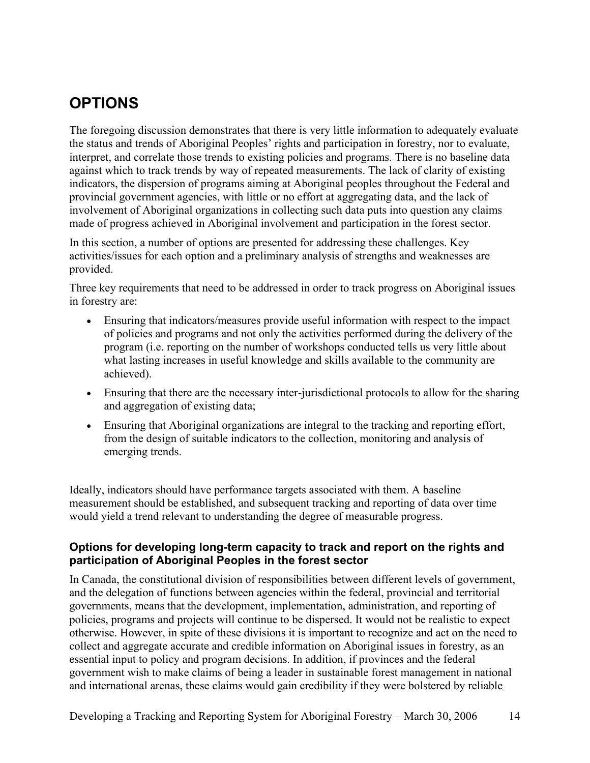## **OPTIONS**

The foregoing discussion demonstrates that there is very little information to adequately evaluate the status and trends of Aboriginal Peoples' rights and participation in forestry, nor to evaluate, interpret, and correlate those trends to existing policies and programs. There is no baseline data against which to track trends by way of repeated measurements. The lack of clarity of existing indicators, the dispersion of programs aiming at Aboriginal peoples throughout the Federal and provincial government agencies, with little or no effort at aggregating data, and the lack of involvement of Aboriginal organizations in collecting such data puts into question any claims made of progress achieved in Aboriginal involvement and participation in the forest sector.

In this section, a number of options are presented for addressing these challenges. Key activities/issues for each option and a preliminary analysis of strengths and weaknesses are provided.

Three key requirements that need to be addressed in order to track progress on Aboriginal issues in forestry are:

- Ensuring that indicators/measures provide useful information with respect to the impact of policies and programs and not only the activities performed during the delivery of the program (i.e. reporting on the number of workshops conducted tells us very little about what lasting increases in useful knowledge and skills available to the community are achieved).
- Ensuring that there are the necessary inter-jurisdictional protocols to allow for the sharing and aggregation of existing data;
- Ensuring that Aboriginal organizations are integral to the tracking and reporting effort, from the design of suitable indicators to the collection, monitoring and analysis of emerging trends.

Ideally, indicators should have performance targets associated with them. A baseline measurement should be established, and subsequent tracking and reporting of data over time would yield a trend relevant to understanding the degree of measurable progress.

#### **Options for developing long-term capacity to track and report on the rights and participation of Aboriginal Peoples in the forest sector**

In Canada, the constitutional division of responsibilities between different levels of government, and the delegation of functions between agencies within the federal, provincial and territorial governments, means that the development, implementation, administration, and reporting of policies, programs and projects will continue to be dispersed. It would not be realistic to expect otherwise. However, in spite of these divisions it is important to recognize and act on the need to collect and aggregate accurate and credible information on Aboriginal issues in forestry, as an essential input to policy and program decisions. In addition, if provinces and the federal government wish to make claims of being a leader in sustainable forest management in national and international arenas, these claims would gain credibility if they were bolstered by reliable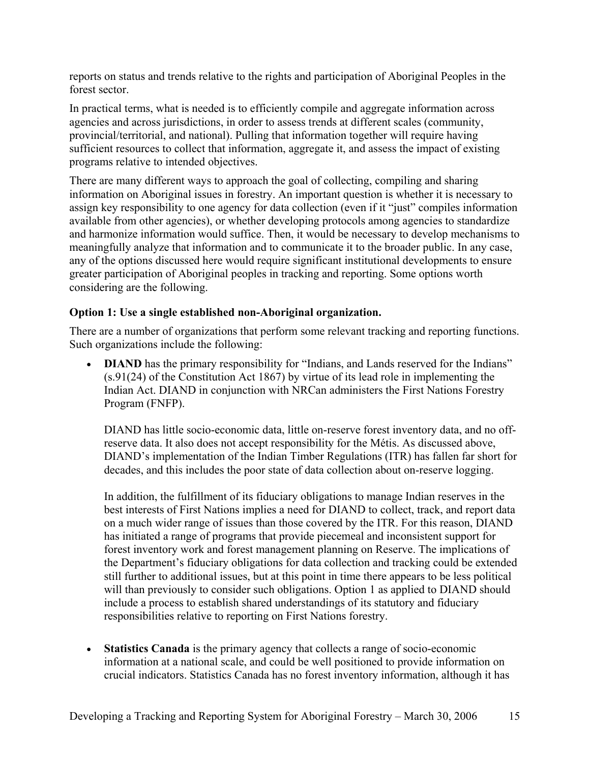reports on status and trends relative to the rights and participation of Aboriginal Peoples in the forest sector.

In practical terms, what is needed is to efficiently compile and aggregate information across agencies and across jurisdictions, in order to assess trends at different scales (community, provincial/territorial, and national). Pulling that information together will require having sufficient resources to collect that information, aggregate it, and assess the impact of existing programs relative to intended objectives.

There are many different ways to approach the goal of collecting, compiling and sharing information on Aboriginal issues in forestry. An important question is whether it is necessary to assign key responsibility to one agency for data collection (even if it "just" compiles information available from other agencies), or whether developing protocols among agencies to standardize and harmonize information would suffice. Then, it would be necessary to develop mechanisms to meaningfully analyze that information and to communicate it to the broader public. In any case, any of the options discussed here would require significant institutional developments to ensure greater participation of Aboriginal peoples in tracking and reporting. Some options worth considering are the following.

#### **Option 1: Use a single established non-Aboriginal organization.**

There are a number of organizations that perform some relevant tracking and reporting functions. Such organizations include the following:

**DIAND** has the primary responsibility for "Indians, and Lands reserved for the Indians" (s.91(24) of the Constitution Act 1867) by virtue of its lead role in implementing the Indian Act. DIAND in conjunction with NRCan administers the First Nations Forestry Program (FNFP).

DIAND has little socio-economic data, little on-reserve forest inventory data, and no offreserve data. It also does not accept responsibility for the Métis. As discussed above, DIAND's implementation of the Indian Timber Regulations (ITR) has fallen far short for decades, and this includes the poor state of data collection about on-reserve logging.

In addition, the fulfillment of its fiduciary obligations to manage Indian reserves in the best interests of First Nations implies a need for DIAND to collect, track, and report data on a much wider range of issues than those covered by the ITR. For this reason, DIAND has initiated a range of programs that provide piecemeal and inconsistent support for forest inventory work and forest management planning on Reserve. The implications of the Department's fiduciary obligations for data collection and tracking could be extended still further to additional issues, but at this point in time there appears to be less political will than previously to consider such obligations. Option 1 as applied to DIAND should include a process to establish shared understandings of its statutory and fiduciary responsibilities relative to reporting on First Nations forestry.

• **Statistics Canada** is the primary agency that collects a range of socio-economic information at a national scale, and could be well positioned to provide information on crucial indicators. Statistics Canada has no forest inventory information, although it has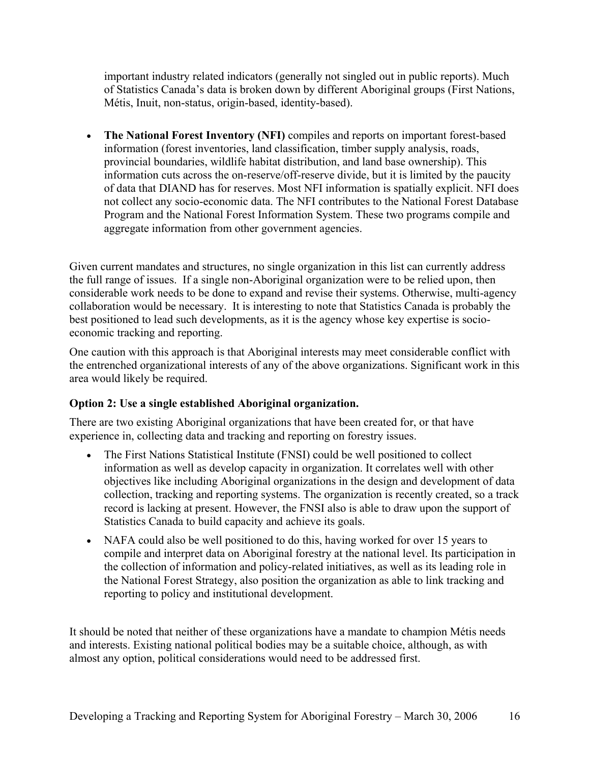important industry related indicators (generally not singled out in public reports). Much of Statistics Canada's data is broken down by different Aboriginal groups (First Nations, Métis, Inuit, non-status, origin-based, identity-based).

• **The National Forest Inventory (NFI)** compiles and reports on important forest-based information (forest inventories, land classification, timber supply analysis, roads, provincial boundaries, wildlife habitat distribution, and land base ownership). This information cuts across the on-reserve/off-reserve divide, but it is limited by the paucity of data that DIAND has for reserves. Most NFI information is spatially explicit. NFI does not collect any socio-economic data. The NFI contributes to the National Forest Database Program and the National Forest Information System. These two programs compile and aggregate information from other government agencies.

Given current mandates and structures, no single organization in this list can currently address the full range of issues. If a single non-Aboriginal organization were to be relied upon, then considerable work needs to be done to expand and revise their systems. Otherwise, multi-agency collaboration would be necessary. It is interesting to note that Statistics Canada is probably the best positioned to lead such developments, as it is the agency whose key expertise is socioeconomic tracking and reporting.

One caution with this approach is that Aboriginal interests may meet considerable conflict with the entrenched organizational interests of any of the above organizations. Significant work in this area would likely be required.

### **Option 2: Use a single established Aboriginal organization.**

There are two existing Aboriginal organizations that have been created for, or that have experience in, collecting data and tracking and reporting on forestry issues.

- The First Nations Statistical Institute (FNSI) could be well positioned to collect information as well as develop capacity in organization. It correlates well with other objectives like including Aboriginal organizations in the design and development of data collection, tracking and reporting systems. The organization is recently created, so a track record is lacking at present. However, the FNSI also is able to draw upon the support of Statistics Canada to build capacity and achieve its goals.
- NAFA could also be well positioned to do this, having worked for over 15 years to compile and interpret data on Aboriginal forestry at the national level. Its participation in the collection of information and policy-related initiatives, as well as its leading role in the National Forest Strategy, also position the organization as able to link tracking and reporting to policy and institutional development.

It should be noted that neither of these organizations have a mandate to champion Métis needs and interests. Existing national political bodies may be a suitable choice, although, as with almost any option, political considerations would need to be addressed first.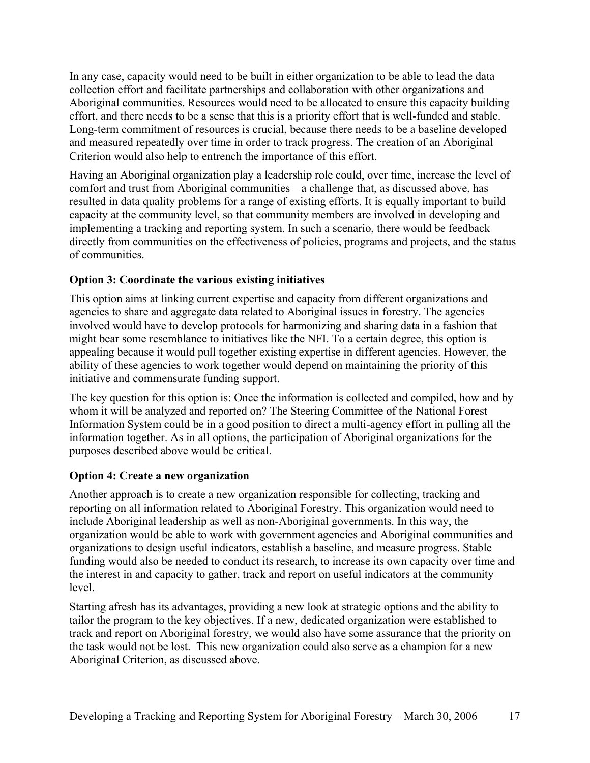In any case, capacity would need to be built in either organization to be able to lead the data collection effort and facilitate partnerships and collaboration with other organizations and Aboriginal communities. Resources would need to be allocated to ensure this capacity building effort, and there needs to be a sense that this is a priority effort that is well-funded and stable. Long-term commitment of resources is crucial, because there needs to be a baseline developed and measured repeatedly over time in order to track progress. The creation of an Aboriginal Criterion would also help to entrench the importance of this effort.

Having an Aboriginal organization play a leadership role could, over time, increase the level of comfort and trust from Aboriginal communities – a challenge that, as discussed above, has resulted in data quality problems for a range of existing efforts. It is equally important to build capacity at the community level, so that community members are involved in developing and implementing a tracking and reporting system. In such a scenario, there would be feedback directly from communities on the effectiveness of policies, programs and projects, and the status of communities.

#### **Option 3: Coordinate the various existing initiatives**

This option aims at linking current expertise and capacity from different organizations and agencies to share and aggregate data related to Aboriginal issues in forestry. The agencies involved would have to develop protocols for harmonizing and sharing data in a fashion that might bear some resemblance to initiatives like the NFI. To a certain degree, this option is appealing because it would pull together existing expertise in different agencies. However, the ability of these agencies to work together would depend on maintaining the priority of this initiative and commensurate funding support.

The key question for this option is: Once the information is collected and compiled, how and by whom it will be analyzed and reported on? The Steering Committee of the National Forest Information System could be in a good position to direct a multi-agency effort in pulling all the information together. As in all options, the participation of Aboriginal organizations for the purposes described above would be critical.

#### **Option 4: Create a new organization**

Another approach is to create a new organization responsible for collecting, tracking and reporting on all information related to Aboriginal Forestry. This organization would need to include Aboriginal leadership as well as non-Aboriginal governments. In this way, the organization would be able to work with government agencies and Aboriginal communities and organizations to design useful indicators, establish a baseline, and measure progress. Stable funding would also be needed to conduct its research, to increase its own capacity over time and the interest in and capacity to gather, track and report on useful indicators at the community level.

Starting afresh has its advantages, providing a new look at strategic options and the ability to tailor the program to the key objectives. If a new, dedicated organization were established to track and report on Aboriginal forestry, we would also have some assurance that the priority on the task would not be lost. This new organization could also serve as a champion for a new Aboriginal Criterion, as discussed above.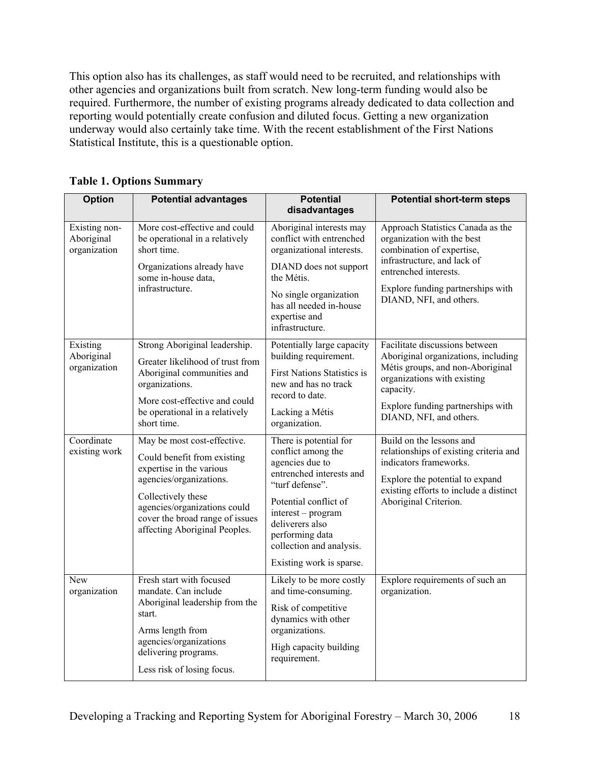This option also has its challenges, as staff would need to be recruited, and relationships with other agencies and organizations built from scratch. New long-term funding would also be required. Furthermore, the number of existing programs already dedicated to data collection and reporting would potentially create confusion and diluted focus. Getting a new organization underway would also certainly take time. With the recent establishment of the First Nations Statistical Institute, this is a questionable option.

| <b>Option</b>                               | <b>Potential advantages</b>                                                                                                                                                                                                                 | <b>Potential</b><br>disadvantages                                                                                                                                                                                                                           | <b>Potential short-term steps</b>                                                                                                                                                                                     |
|---------------------------------------------|---------------------------------------------------------------------------------------------------------------------------------------------------------------------------------------------------------------------------------------------|-------------------------------------------------------------------------------------------------------------------------------------------------------------------------------------------------------------------------------------------------------------|-----------------------------------------------------------------------------------------------------------------------------------------------------------------------------------------------------------------------|
| Existing non-<br>Aboriginal<br>organization | More cost-effective and could<br>be operational in a relatively<br>short time.<br>Organizations already have<br>some in-house data,<br>infrastructure.                                                                                      | Aboriginal interests may<br>conflict with entrenched<br>organizational interests.<br>DIAND does not support<br>the Métis.<br>No single organization<br>has all needed in-house<br>expertise and<br>infrastructure.                                          | Approach Statistics Canada as the<br>organization with the best<br>combination of expertise,<br>infrastructure, and lack of<br>entrenched interests.<br>Explore funding partnerships with<br>DIAND, NFI, and others.  |
| Existing<br>Aboriginal<br>organization      | Strong Aboriginal leadership.<br>Greater likelihood of trust from<br>Aboriginal communities and<br>organizations.<br>More cost-effective and could<br>be operational in a relatively<br>short time.                                         | Potentially large capacity<br>building requirement.<br><b>First Nations Statistics is</b><br>new and has no track<br>record to date.<br>Lacking a Métis<br>organization.                                                                                    | Facilitate discussions between<br>Aboriginal organizations, including<br>Métis groups, and non-Aboriginal<br>organizations with existing<br>capacity.<br>Explore funding partnerships with<br>DIAND, NFI, and others. |
| Coordinate<br>existing work                 | May be most cost-effective.<br>Could benefit from existing<br>expertise in the various<br>agencies/organizations.<br>Collectively these<br>agencies/organizations could<br>cover the broad range of issues<br>affecting Aboriginal Peoples. | There is potential for<br>conflict among the<br>agencies due to<br>entrenched interests and<br>"turf defense".<br>Potential conflict of<br>interest - program<br>deliverers also<br>performing data<br>collection and analysis.<br>Existing work is sparse. | Build on the lessons and<br>relationships of existing criteria and<br>indicators frameworks.<br>Explore the potential to expand<br>existing efforts to include a distinct<br>Aboriginal Criterion.                    |
| New<br>organization                         | Fresh start with focused<br>mandate. Can include<br>Aboriginal leadership from the<br>start.<br>Arms length from<br>agencies/organizations<br>delivering programs.<br>Less risk of losing focus.                                            | Likely to be more costly<br>and time-consuming.<br>Risk of competitive<br>dynamics with other<br>organizations.<br>High capacity building<br>requirement.                                                                                                   | Explore requirements of such an<br>organization.                                                                                                                                                                      |

**Table 1. Options Summary**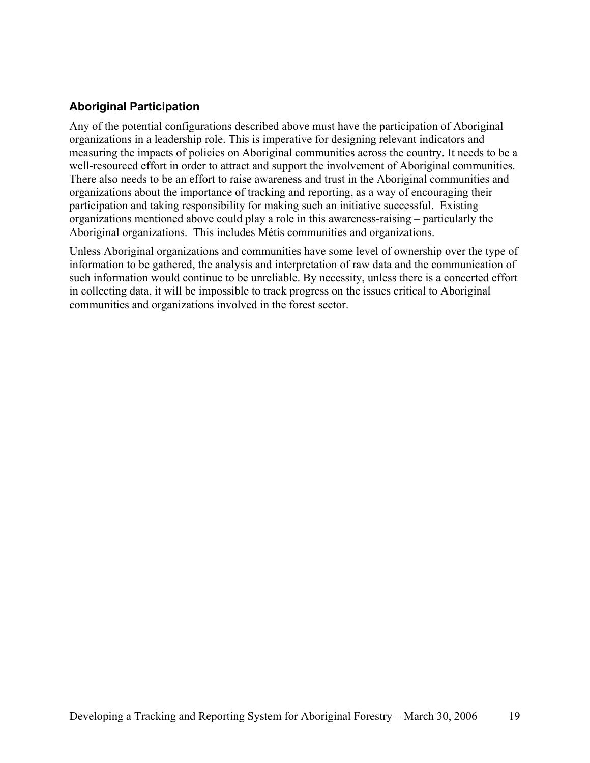### **Aboriginal Participation**

Any of the potential configurations described above must have the participation of Aboriginal organizations in a leadership role. This is imperative for designing relevant indicators and measuring the impacts of policies on Aboriginal communities across the country. It needs to be a well-resourced effort in order to attract and support the involvement of Aboriginal communities. There also needs to be an effort to raise awareness and trust in the Aboriginal communities and organizations about the importance of tracking and reporting, as a way of encouraging their participation and taking responsibility for making such an initiative successful. Existing organizations mentioned above could play a role in this awareness-raising – particularly the Aboriginal organizations. This includes Métis communities and organizations.

Unless Aboriginal organizations and communities have some level of ownership over the type of information to be gathered, the analysis and interpretation of raw data and the communication of such information would continue to be unreliable. By necessity, unless there is a concerted effort in collecting data, it will be impossible to track progress on the issues critical to Aboriginal communities and organizations involved in the forest sector.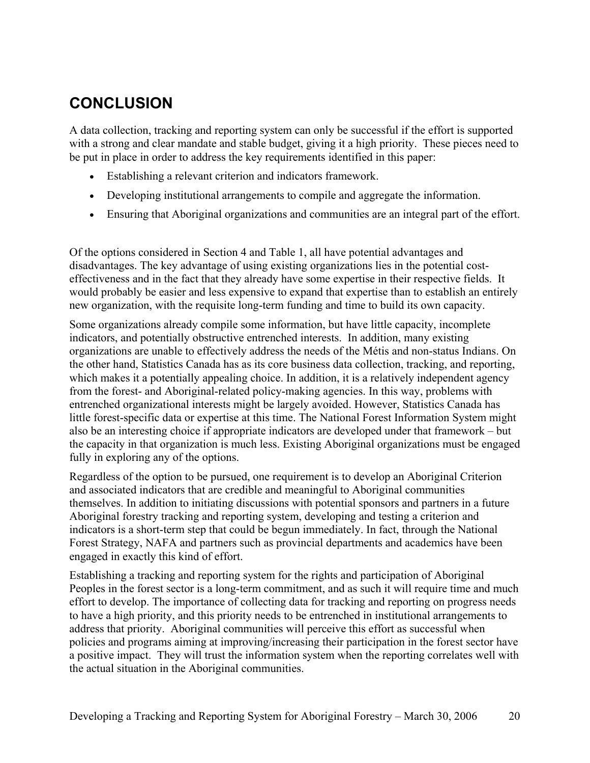# **CONCLUSION**

A data collection, tracking and reporting system can only be successful if the effort is supported with a strong and clear mandate and stable budget, giving it a high priority. These pieces need to be put in place in order to address the key requirements identified in this paper:

- Establishing a relevant criterion and indicators framework.
- Developing institutional arrangements to compile and aggregate the information.
- Ensuring that Aboriginal organizations and communities are an integral part of the effort.

Of the options considered in Section 4 and Table 1, all have potential advantages and disadvantages. The key advantage of using existing organizations lies in the potential costeffectiveness and in the fact that they already have some expertise in their respective fields. It would probably be easier and less expensive to expand that expertise than to establish an entirely new organization, with the requisite long-term funding and time to build its own capacity.

Some organizations already compile some information, but have little capacity, incomplete indicators, and potentially obstructive entrenched interests. In addition, many existing organizations are unable to effectively address the needs of the Métis and non-status Indians. On the other hand, Statistics Canada has as its core business data collection, tracking, and reporting, which makes it a potentially appealing choice. In addition, it is a relatively independent agency from the forest- and Aboriginal-related policy-making agencies. In this way, problems with entrenched organizational interests might be largely avoided. However, Statistics Canada has little forest-specific data or expertise at this time. The National Forest Information System might also be an interesting choice if appropriate indicators are developed under that framework – but the capacity in that organization is much less. Existing Aboriginal organizations must be engaged fully in exploring any of the options.

Regardless of the option to be pursued, one requirement is to develop an Aboriginal Criterion and associated indicators that are credible and meaningful to Aboriginal communities themselves. In addition to initiating discussions with potential sponsors and partners in a future Aboriginal forestry tracking and reporting system, developing and testing a criterion and indicators is a short-term step that could be begun immediately. In fact, through the National Forest Strategy, NAFA and partners such as provincial departments and academics have been engaged in exactly this kind of effort.

Establishing a tracking and reporting system for the rights and participation of Aboriginal Peoples in the forest sector is a long-term commitment, and as such it will require time and much effort to develop. The importance of collecting data for tracking and reporting on progress needs to have a high priority, and this priority needs to be entrenched in institutional arrangements to address that priority. Aboriginal communities will perceive this effort as successful when policies and programs aiming at improving/increasing their participation in the forest sector have a positive impact. They will trust the information system when the reporting correlates well with the actual situation in the Aboriginal communities.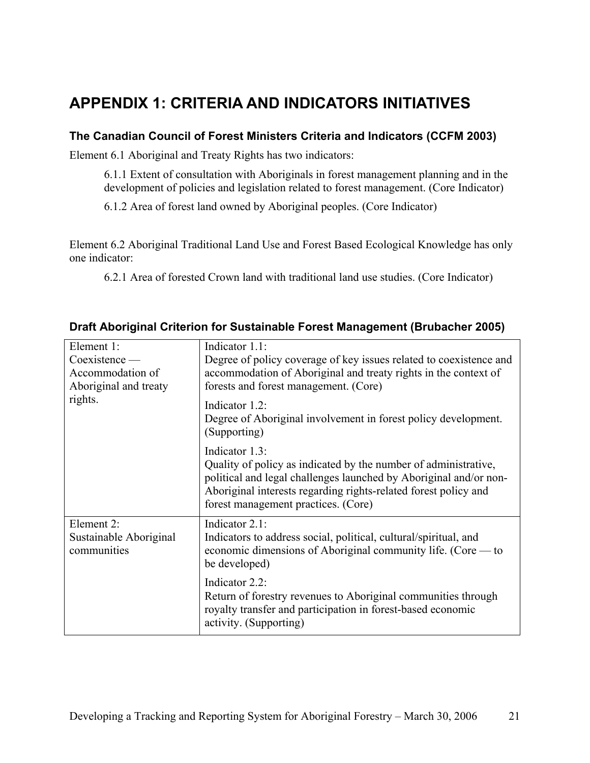## **APPENDIX 1: CRITERIA AND INDICATORS INITIATIVES**

### **The Canadian Council of Forest Ministers Criteria and Indicators (CCFM 2003)**

Element 6.1 Aboriginal and Treaty Rights has two indicators:

6.1.1 Extent of consultation with Aboriginals in forest management planning and in the development of policies and legislation related to forest management. (Core Indicator)

6.1.2 Area of forest land owned by Aboriginal peoples. (Core Indicator)

Element 6.2 Aboriginal Traditional Land Use and Forest Based Ecological Knowledge has only one indicator:

6.2.1 Area of forested Crown land with traditional land use studies. (Core Indicator)

| Element 1:                            | Indicator 1.1:                                                                                                                                                                                                                                                   |
|---------------------------------------|------------------------------------------------------------------------------------------------------------------------------------------------------------------------------------------------------------------------------------------------------------------|
| Coexistence                           | Degree of policy coverage of key issues related to coexistence and                                                                                                                                                                                               |
| Accommodation of                      | accommodation of Aboriginal and treaty rights in the context of                                                                                                                                                                                                  |
| Aboriginal and treaty                 | forests and forest management. (Core)                                                                                                                                                                                                                            |
| rights.                               | Indicator 1.2:                                                                                                                                                                                                                                                   |
|                                       | Degree of Aboriginal involvement in forest policy development.<br>(Supporting)                                                                                                                                                                                   |
|                                       | Indicator 1.3:<br>Quality of policy as indicated by the number of administrative,<br>political and legal challenges launched by Aboriginal and/or non-<br>Aboriginal interests regarding rights-related forest policy and<br>forest management practices. (Core) |
| Element 2:                            | Indicator 2.1:                                                                                                                                                                                                                                                   |
| Sustainable Aboriginal<br>communities | Indicators to address social, political, cultural/spiritual, and<br>economic dimensions of Aboriginal community life. (Core — to<br>be developed)                                                                                                                |
|                                       | Indicator 2.2:<br>Return of forestry revenues to Aboriginal communities through<br>royalty transfer and participation in forest-based economic<br>activity. (Supporting)                                                                                         |

#### **Draft Aboriginal Criterion for Sustainable Forest Management (Brubacher 2005)**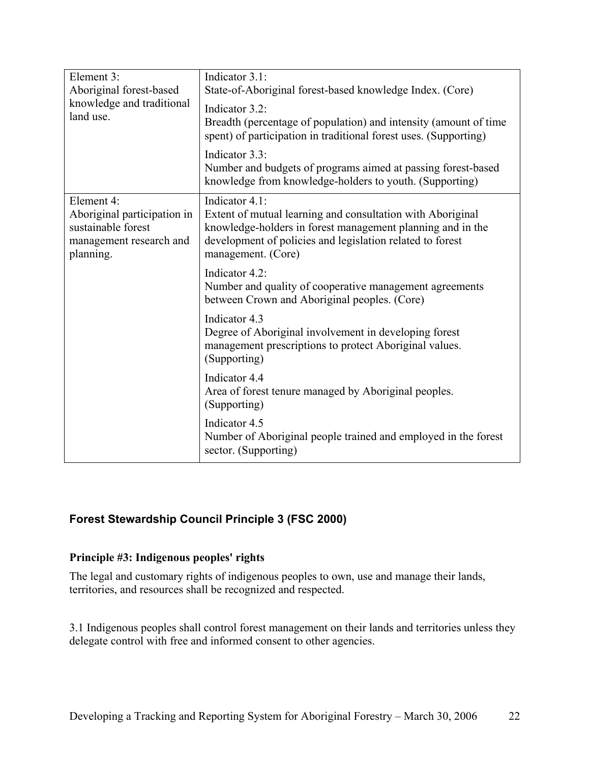| Element 3:<br>Aboriginal forest-based<br>knowledge and traditional<br>land use.                         | Indicator 3.1:<br>State-of-Aboriginal forest-based knowledge Index. (Core)<br>Indicator 3.2:<br>Breadth (percentage of population) and intensity (amount of time<br>spent) of participation in traditional forest uses. (Supporting)<br>Indicator 3.3:<br>Number and budgets of programs aimed at passing forest-based<br>knowledge from knowledge-holders to youth. (Supporting) |
|---------------------------------------------------------------------------------------------------------|-----------------------------------------------------------------------------------------------------------------------------------------------------------------------------------------------------------------------------------------------------------------------------------------------------------------------------------------------------------------------------------|
| Element 4:<br>Aboriginal participation in<br>sustainable forest<br>management research and<br>planning. | Indicator 4.1:<br>Extent of mutual learning and consultation with Aboriginal<br>knowledge-holders in forest management planning and in the<br>development of policies and legislation related to forest<br>management. (Core)                                                                                                                                                     |
|                                                                                                         | Indicator 4.2:<br>Number and quality of cooperative management agreements<br>between Crown and Aboriginal peoples. (Core)                                                                                                                                                                                                                                                         |
|                                                                                                         | Indicator 4.3<br>Degree of Aboriginal involvement in developing forest<br>management prescriptions to protect Aboriginal values.<br>(Supporting)                                                                                                                                                                                                                                  |
|                                                                                                         | Indicator 4.4<br>Area of forest tenure managed by Aboriginal peoples.<br>(Supporting)                                                                                                                                                                                                                                                                                             |
|                                                                                                         | Indicator 4.5<br>Number of Aboriginal people trained and employed in the forest<br>sector. (Supporting)                                                                                                                                                                                                                                                                           |

### **Forest Stewardship Council Principle 3 (FSC 2000)**

#### **Principle #3: Indigenous peoples' rights**

The legal and customary rights of indigenous peoples to own, use and manage their lands, territories, and resources shall be recognized and respected.

3.1 Indigenous peoples shall control forest management on their lands and territories unless they delegate control with free and informed consent to other agencies.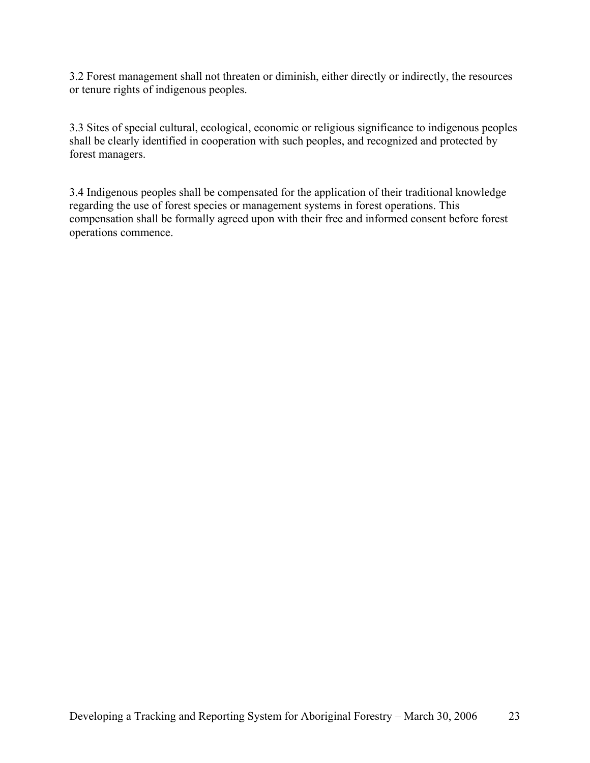3.2 Forest management shall not threaten or diminish, either directly or indirectly, the resources or tenure rights of indigenous peoples.

3.3 Sites of special cultural, ecological, economic or religious significance to indigenous peoples shall be clearly identified in cooperation with such peoples, and recognized and protected by forest managers.

3.4 Indigenous peoples shall be compensated for the application of their traditional knowledge regarding the use of forest species or management systems in forest operations. This compensation shall be formally agreed upon with their free and informed consent before forest operations commence.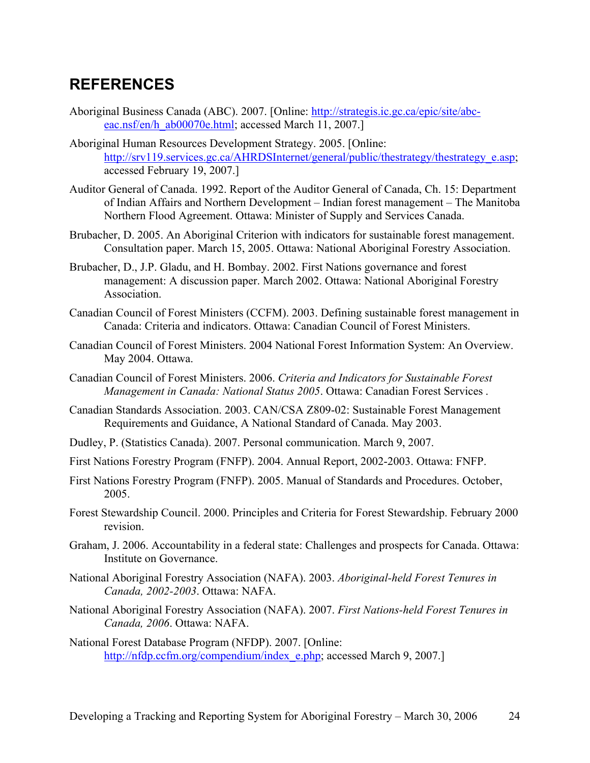### **REFERENCES**

- Aboriginal Business Canada (ABC). 2007. [Online: http://strategis.ic.gc.ca/epic/site/abceac.nsf/en/h\_ab00070e.html; accessed March 11, 2007.]
- Aboriginal Human Resources Development Strategy. 2005. [Online: http://srv119.services.gc.ca/AHRDSInternet/general/public/thestrategy/thestrategy\_e.asp; accessed February 19, 2007.]
- Auditor General of Canada. 1992. Report of the Auditor General of Canada, Ch. 15: Department of Indian Affairs and Northern Development – Indian forest management – The Manitoba Northern Flood Agreement. Ottawa: Minister of Supply and Services Canada.
- Brubacher, D. 2005. An Aboriginal Criterion with indicators for sustainable forest management. Consultation paper. March 15, 2005. Ottawa: National Aboriginal Forestry Association.
- Brubacher, D., J.P. Gladu, and H. Bombay. 2002. First Nations governance and forest management: A discussion paper. March 2002. Ottawa: National Aboriginal Forestry Association.
- Canadian Council of Forest Ministers (CCFM). 2003. Defining sustainable forest management in Canada: Criteria and indicators. Ottawa: Canadian Council of Forest Ministers.
- Canadian Council of Forest Ministers. 2004 National Forest Information System: An Overview. May 2004. Ottawa.
- Canadian Council of Forest Ministers. 2006. *Criteria and Indicators for Sustainable Forest Management in Canada: National Status 2005*. Ottawa: Canadian Forest Services .
- Canadian Standards Association. 2003. CAN/CSA Z809-02: Sustainable Forest Management Requirements and Guidance, A National Standard of Canada. May 2003.
- Dudley, P. (Statistics Canada). 2007. Personal communication. March 9, 2007.
- First Nations Forestry Program (FNFP). 2004. Annual Report, 2002-2003. Ottawa: FNFP.
- First Nations Forestry Program (FNFP). 2005. Manual of Standards and Procedures. October, 2005.
- Forest Stewardship Council. 2000. Principles and Criteria for Forest Stewardship. February 2000 revision.
- Graham, J. 2006. Accountability in a federal state: Challenges and prospects for Canada. Ottawa: Institute on Governance.
- National Aboriginal Forestry Association (NAFA). 2003. *Aboriginal-held Forest Tenures in Canada, 2002-2003*. Ottawa: NAFA.
- National Aboriginal Forestry Association (NAFA). 2007. *First Nations-held Forest Tenures in Canada, 2006*. Ottawa: NAFA.

National Forest Database Program (NFDP). 2007. [Online: http://nfdp.ccfm.org/compendium/index\_e.php; accessed March 9, 2007.]